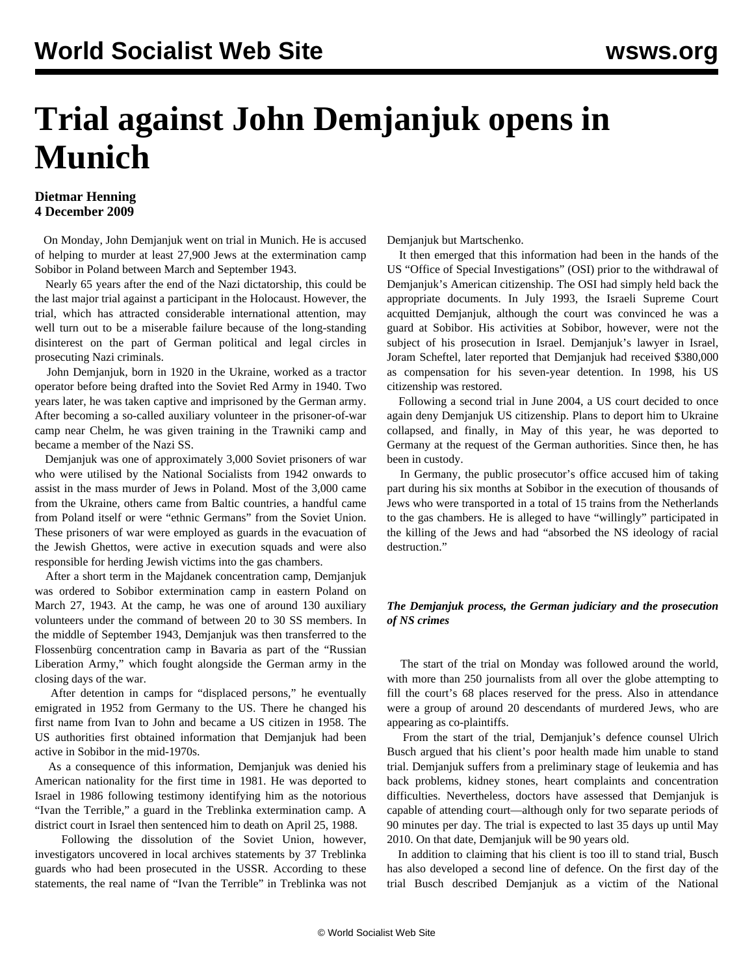## **Trial against John Demjanjuk opens in Munich**

## **Dietmar Henning 4 December 2009**

 On Monday, John Demjanjuk went on trial in Munich. He is accused of helping to murder at least 27,900 Jews at the extermination camp Sobibor in Poland between March and September 1943.

 Nearly 65 years after the end of the Nazi dictatorship, this could be the last major trial against a participant in the Holocaust. However, the trial, which has attracted considerable international attention, may well turn out to be a miserable failure because of the long-standing disinterest on the part of German political and legal circles in prosecuting Nazi criminals.

 John Demjanjuk, born in 1920 in the Ukraine, worked as a tractor operator before being drafted into the Soviet Red Army in 1940. Two years later, he was taken captive and imprisoned by the German army. After becoming a so-called auxiliary volunteer in the prisoner-of-war camp near Chelm, he was given training in the Trawniki camp and became a member of the Nazi SS.

 Demjanjuk was one of approximately 3,000 Soviet prisoners of war who were utilised by the National Socialists from 1942 onwards to assist in the mass murder of Jews in Poland. Most of the 3,000 came from the Ukraine, others came from Baltic countries, a handful came from Poland itself or were "ethnic Germans" from the Soviet Union. These prisoners of war were employed as guards in the evacuation of the Jewish Ghettos, were active in execution squads and were also responsible for herding Jewish victims into the gas chambers.

 After a short term in the Majdanek concentration camp, Demjanjuk was ordered to Sobibor extermination camp in eastern Poland on March 27, 1943. At the camp, he was one of around 130 auxiliary volunteers under the command of between 20 to 30 SS members. In the middle of September 1943, Demjanjuk was then transferred to the Flossenbürg concentration camp in Bavaria as part of the "Russian Liberation Army," which fought alongside the German army in the closing days of the war.

 After detention in camps for "displaced persons," he eventually emigrated in 1952 from Germany to the US. There he changed his first name from Ivan to John and became a US citizen in 1958. The US authorities first obtained information that Demjanjuk had been active in Sobibor in the mid-1970s.

 As a consequence of this information, Demjanjuk was denied his American nationality for the first time in 1981. He was deported to Israel in 1986 following testimony identifying him as the notorious "Ivan the Terrible," a guard in the Treblinka extermination camp. A district court in Israel then sentenced him to death on April 25, 1988.

 Following the dissolution of the Soviet Union, however, investigators uncovered in local archives statements by 37 Treblinka guards who had been prosecuted in the USSR. According to these statements, the real name of "Ivan the Terrible" in Treblinka was not Demjanjuk but Martschenko.

 It then emerged that this information had been in the hands of the US "Office of Special Investigations" (OSI) prior to the withdrawal of Demjanjuk's American citizenship. The OSI had simply held back the appropriate documents. In July 1993, the Israeli Supreme Court acquitted Demjanjuk, although the court was convinced he was a guard at Sobibor. His activities at Sobibor, however, were not the subject of his prosecution in Israel. Demjanjuk's lawyer in Israel, Joram Scheftel, later reported that Demjanjuk had received \$380,000 as compensation for his seven-year detention. In 1998, his US citizenship was restored.

 Following a second trial in June 2004, a US court decided to once again deny Demjanjuk US citizenship. Plans to deport him to Ukraine collapsed, and finally, in May of this year, he was deported to Germany at the request of the German authorities. Since then, he has been in custody.

 In Germany, the public prosecutor's office accused him of taking part during his six months at Sobibor in the execution of thousands of Jews who were transported in a total of 15 trains from the Netherlands to the gas chambers. He is alleged to have "willingly" participated in the killing of the Jews and had "absorbed the NS ideology of racial destruction."

## *The Demjanjuk process, the German judiciary and the prosecution of NS crimes*

 The start of the trial on Monday was followed around the world, with more than 250 journalists from all over the globe attempting to fill the court's 68 places reserved for the press. Also in attendance were a group of around 20 descendants of murdered Jews, who are appearing as co-plaintiffs.

 From the start of the trial, Demjanjuk's defence counsel Ulrich Busch argued that his client's poor health made him unable to stand trial. Demjanjuk suffers from a preliminary stage of leukemia and has back problems, kidney stones, heart complaints and concentration difficulties. Nevertheless, doctors have assessed that Demjanjuk is capable of attending court—although only for two separate periods of 90 minutes per day. The trial is expected to last 35 days up until May 2010. On that date, Demjanjuk will be 90 years old.

 In addition to claiming that his client is too ill to stand trial, Busch has also developed a second line of defence. On the first day of the trial Busch described Demjanjuk as a victim of the National